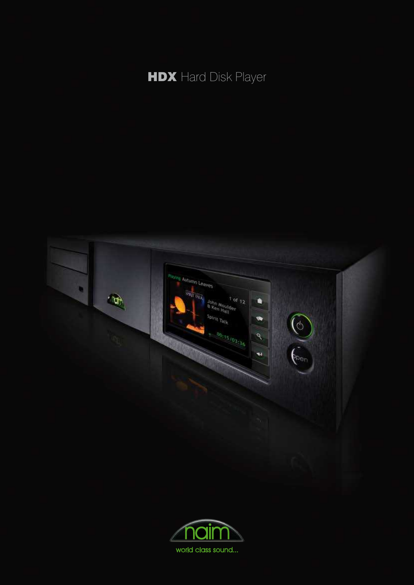



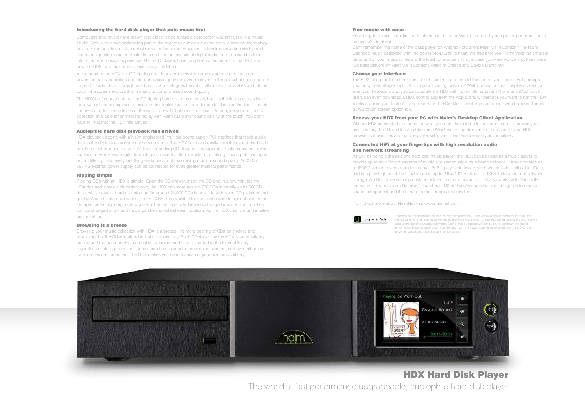# HDX Hard Disk Player The world's first performance upgradeable, audiophile hard disk player

#### Introducing the hard disk player that puts music first

Computers and music have drawn ever closer since a hard disk recorder was first used in a music studio. Now, with downloads being part of the everyday audiophile experience, computer technology has become an inherent element of music in the home. However it takes immense knowledge and skill to design electronic products that can take the raw bits of digital audio and re-assemble them into a genuine musical experience. Naim CD players have long been a testament to that fact, and now the HDX hard disk music player has joined them.

At the heart of the HDX is a CD ripping and data storage system employing some of the most advanced data acquisition and error analysis algorithms ever deployed in the pursuit of sound quality. It rips CD audio data, stores it on a hard disk, catalogues the artist, album and track titles and, at the touch of a screen, replays it with utterly uncompromised sound quality.

The HDX is of course not the first CD ripping hard disk music player, but it is the first to carry a Naim logo, with all the principles of musical audio quality that the logo demands. It is also the first to reach the heady performance levels of the world's best CD players – our own. So imagine your entire CD collection available for immediate replay with Naim CD player sound quality at the touch. You don't have to imagine; the HDX has arrived.

### Audiophile hard disk playback has arrived

HDX playback begins with a Naim engineered, multiple power supply PCI interface that feeds audio data to the digital-to-analogue conversion stage. The HDX borrows heavily from the established Naim practices that produce the world's finest sounding CD players. It incorporates multi-regulated power supplies, a Burr-Brown digital-to-analogue converter, ultra-low jitter re-clocking, seven pole analogue output filtering, and every last thing we know about maximising musical sound quality. An XPS or 555 PS external power supply can be connected for even greater musical performance.

### Ripping simple

Ripping CDs with an HDX is simple. Open the CD drawer, insert the CD and in a few minutes the HDX rips and stores a bit-perfect copy. An HDX can store around 750 CDs internally on its 500GB drive, while network hard disk storage for around 20,000 CDs is possible with Naim CD player sound quality. A solid-state drive variant, the HDX-SSD, is available for those who wish to opt out of internal storage, preferring to rip to network-attached storage only. Network storage locations and priorities can be changed at will and music can be moved between locations via the HDX's simple and intuitive user interface.

### Browsing is a breeze

Browsing your music collection with HDX is a breeze. No more peering at CDs on shelves and promising that they'll be in alphabetical order one day. Each CD ripped by the HDX is automatically catalogued through enquiry to an online database and its data added to the internal library, regardless of storage location. Genres can be assigned, or new ones invented, and even album or track names can be edited. The HDX makes you head librarian of your own music library.

### Find music with ease

Searching for music is not limited to albums and tracks. Want to search by composer, performer, artist, orchestra? Go ahead.

Can't remember the name of the bass player on Antonio Forcione's Meet Me in London? The Naim Extended Music database, with the power of AMG at its heart, will find it for you. Remember the smallest detail and all your music is there at the touch of a screen. And, in case you were wondering, there were two bass players on Meet Me in London; Malcolm Creese and Davide Mantovani.

### Choose your interface

The HDX incorporates a front panel touch screen that offers all the control you'll need. But perhaps you fancy controlling your HDX from your listening position? Well, connect a small display screen, or even your television, and you can operate the HDX with its remote handset. iPhone and iPod Touch users can even download a HDX control app from the App Store. Or perhaps you want to run the HDX wirelessly from your laptop? Easy; use either the Desktop Client application or a web browser. There's a USB touch screen option too.

### Access your HDX from your PC with Naim's Desktop Client Application

With an HDX connected to a home network you don't have to be in the same room to browse your music library. The Naim Desktop Client is a Windows PC application that can control your HDX, browse its music files and handle player setup and maintenance easily and intuitively.

### Connected HiFi at your fingertips with high resolution audio and network streaming

As well as being a stand-alone hard disk music player, the HDX can be used as a music server to provide up to six different streams of music simultaneously over a home network. It also operates as a UPnP™ server to stream audio to any UPnP™ playback device, such as the NaimUniti or UnitiQute, and can play high resolution audio files at up to 24bit/192kHz from its USB interface or from network storage. And for those wanting custom-installed multi-room audio, HDX also works with Naim's IPbased multi-room system NaimNet\*. Install an HDX and you've installed both a high-performance source component and the heart of a multi-room audio system.

\*To find out more about NaimNet visit www.naimnet.com



Upgrades are a fundamental element of the Naim philosophy. There are two upgrade paths for the HDX: the first, the addition of an external power supply (either an XPS or 555 PS) and the second, adding the DAC, Naim's stand-alone digital to analogue converter. Each of these upgrades will bring about a significant increase in performance. However when used in combination, with the power supply instead connected to the DAC, they deliver an outstanding step-change in performance.